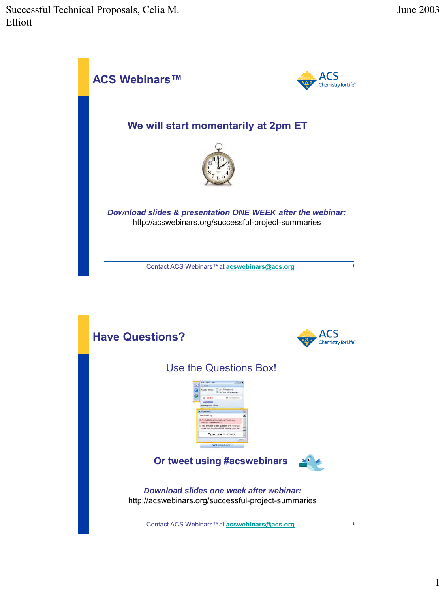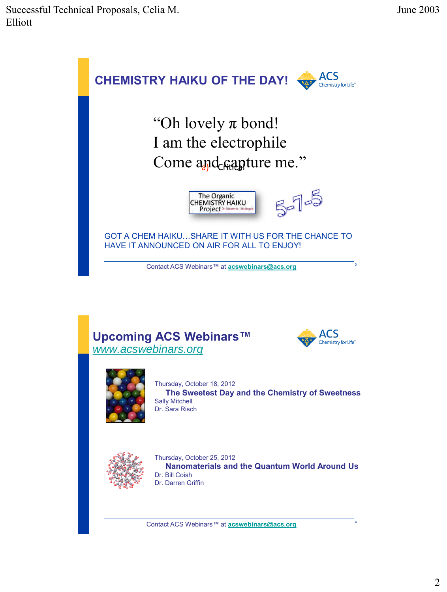







Thursday, October 18, 2012 **The Sweetest Day and the Chemistry of Sweetness** Sally Mitchell Dr. Sara Risch



Thursday, October 25, 2012 **Nanomaterials and the Quantum World Around Us** Dr. Bill Coish Dr. Darren Griffin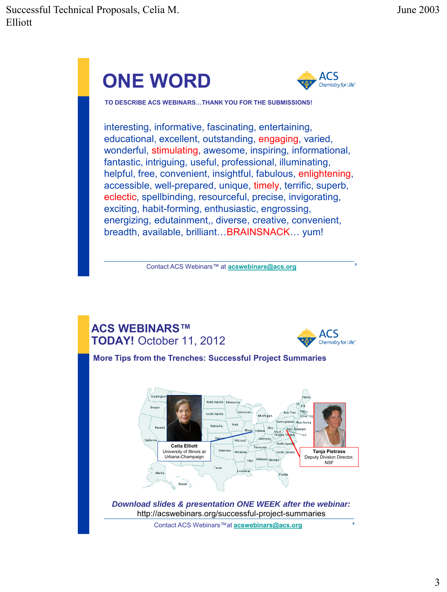# **ONE WORD**



**TO DESCRIBE ACS WEBINARS…THANK YOU FOR THE SUBMISSIONS!**

interesting, informative, fascinating, entertaining, educational, excellent, outstanding, engaging, varied, wonderful, stimulating, awesome, inspiring, informational, fantastic, intriguing, useful, professional, illuminating, helpful, free, convenient, insightful, fabulous, enlightening, accessible, well-prepared, unique, timely, terrific, superb, eclectic, spellbinding, resourceful, precise, invigorating, exciting, habit-forming, enthusiastic, engrossing, energizing, edutainment,, diverse, creative, convenient, breadth, available, brilliant…BRAINSNACK… yum!

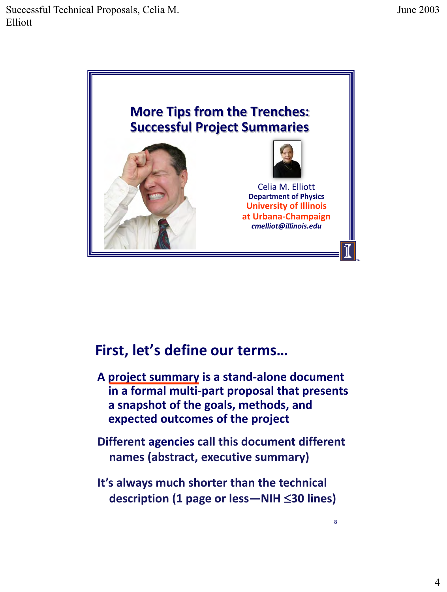

# **First, let's define our terms…**

- **A project summary is a stand-alone document in a formal multi-part proposal that presents a snapshot of the goals, methods, and expected outcomes of the project**
- **Different agencies call this document different names (abstract, executive summary)**
- **It's always much shorter than the technical description (1 page or less—NIH 30 lines)**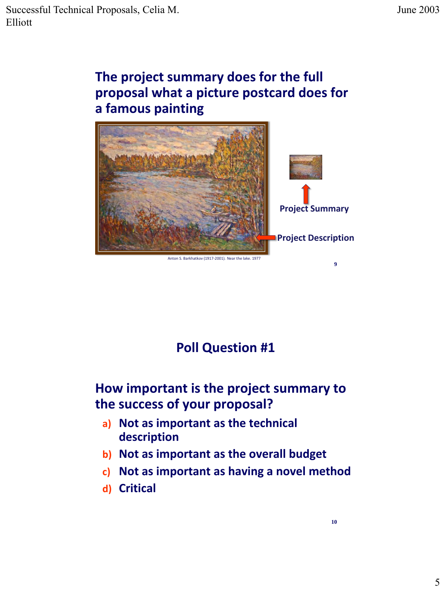# **The project summary does for the full proposal what a picture postcard does for a famous painting**



Anton S. Barkhatkov (1917-2001). Near the lake. 197

# **Poll Question #1**

# **How important is the project summary to the success of your proposal?**

- **a) Not as important as the technical description**
- **b) Not as important as the overall budget**
- **c) Not as important as having a novel method**
- **d) Critical**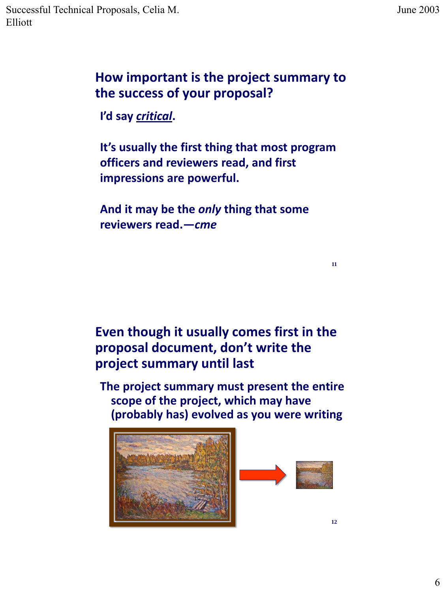#### **How important is the project summary to the success of your proposal?**

**I'd say** *critical***.** 

**It's usually the first thing that most program officers and reviewers read, and first impressions are powerful.** 

**And it may be the** *only* **thing that some reviewers read.—***cme*

## **Even though it usually comes first in the proposal document, don't write the project summary until last**

**The project summary must present the entire scope of the project, which may have (probably has) evolved as you were writing**



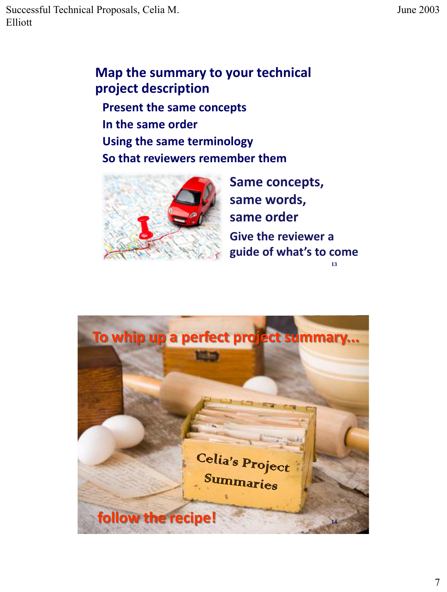Successful Technical Proposals, Celia M. Elliott

#### **Map the summary to your technical project description**

**Present the same concepts In the same order Using the same terminology So that reviewers remember them**



**Same concepts, same words, same order Give the reviewer a guide of what's to come 13**

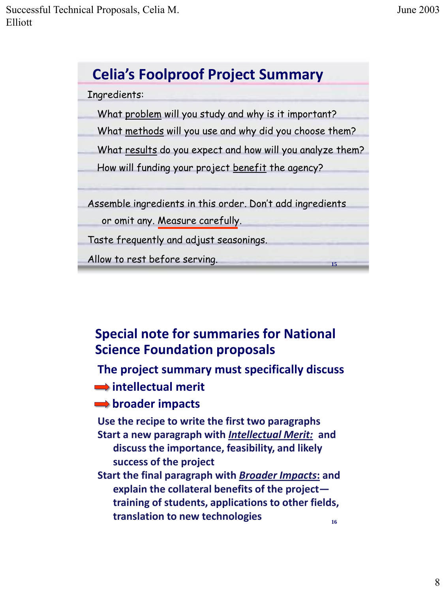

## **Special note for summaries for National Science Foundation proposals**

# **The project summary must specifically discuss intellectual merit**

#### **broader impacts**

**Use the recipe to write the first two paragraphs Start a new paragraph with** *Intellectual Merit:* **and discuss the importance, feasibility, and likely success of the project Start the final paragraph with** *Broader Impacts***: and**

 **explain the collateral benefits of the project training of students, applications to other fields, translation to new technologies 16**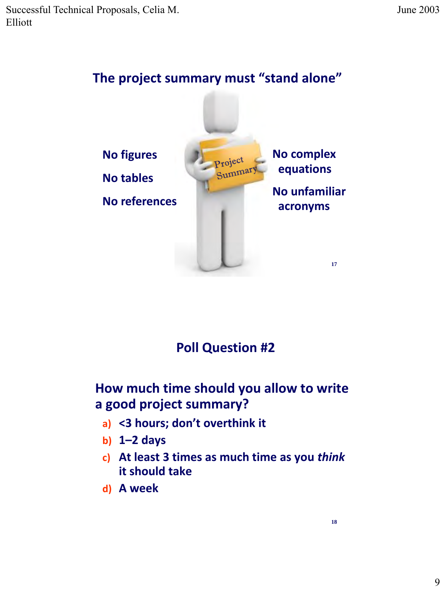

## **Poll Question #2**

#### **How much time should you allow to write a good project summary?**

- **a) <3 hours; don't overthink it**
- **b) 1–2 days**
- **c) At least 3 times as much time as you** *think*  **it should take**
- **d) A week**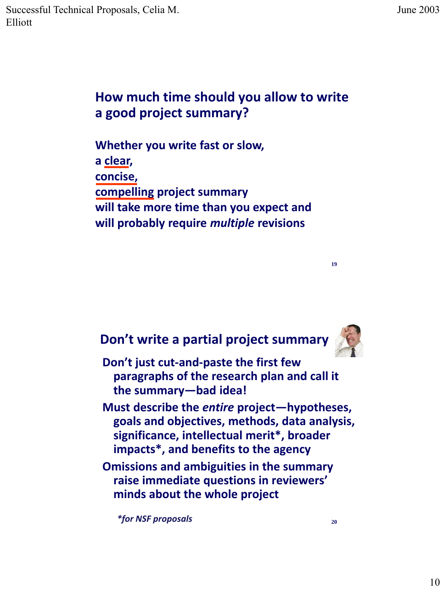## **How much time should you allow to write a good project summary?**

**Whether you write fast or slow, a clear, concise, compelling project summary will take more time than you expect and will probably require** *multiple* **revisions** 

#### **Don't write a partial project summary**



**19**

**Don't just cut-and-paste the first few paragraphs of the research plan and call it the summary—bad idea!** 

**Must describe the** *entire* **project—hypotheses, goals and objectives, methods, data analysis, significance, intellectual merit\*, broader impacts\*, and benefits to the agency**

**Omissions and ambiguities in the summary raise immediate questions in reviewers' minds about the whole project**

*\*for NSF proposals* **<sup>20</sup>**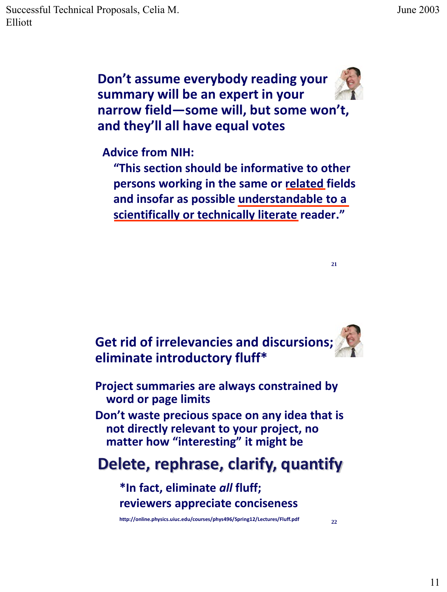Successful Technical Proposals, Celia M. Elliott

**Don't assume everybody reading your summary will be an expert in your narrow field—some will, but some won't, and they'll all have equal votes**

**Advice from NIH:**

**"This section should be informative to other persons working in the same or related fields and insofar as possible understandable to a scientifically or technically literate reader."**

**Get rid of irrelevancies and discursions; eliminate introductory fluff\***

**Project summaries are always constrained by word or page limits**

**Don't waste precious space on any idea that is not directly relevant to your project, no matter how "interesting" it might be**

# **Delete, rephrase, clarify, quantify**

**\*In fact, eliminate** *all* **fluff; reviewers appreciate conciseness**

**http://online.physics.uiuc.edu/courses/phys496/Spring12/Lectures/Fluff.pdf <sup>22</sup>**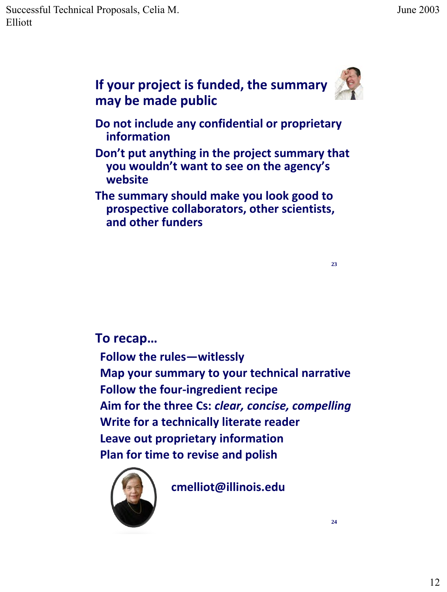

**may be made public Do not include any confidential or proprietary information**

**Don't put anything in the project summary that you wouldn't want to see on the agency's website**

**The summary should make you look good to prospective collaborators, other scientists, and other funders**

**23**

#### **To recap…**

**Follow the rules—witlessly Map your summary to your technical narrative Follow the four-ingredient recipe Aim for the three Cs:** *clear, concise, compelling* **Write for a technically literate reader Leave out proprietary information Plan for time to revise and polish**



**cmelliot@illinois.edu**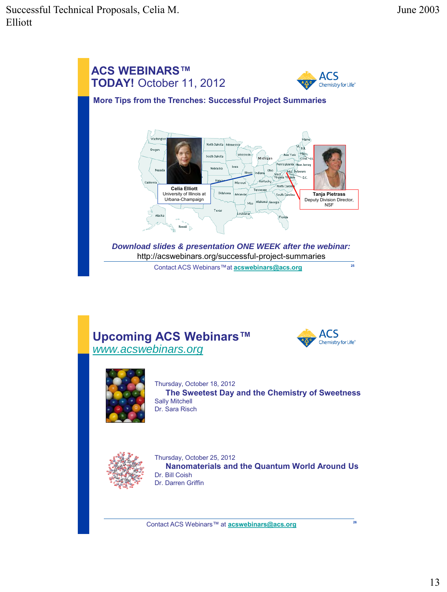







Thursday, October 18, 2012 **The Sweetest Day and the Chemistry of Sweetness** Sally Mitchell Dr. Sara Risch



Thursday, October 25, 2012 **Nanomaterials and the Quantum World Around Us** Dr. Bill Coish Dr. Darren Griffin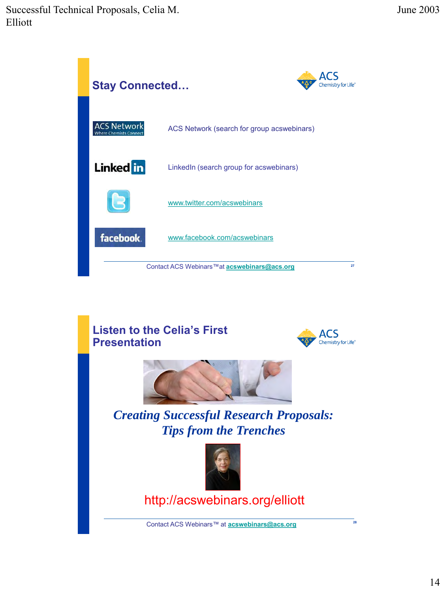Successful Technical Proposals, Celia M. Elliott